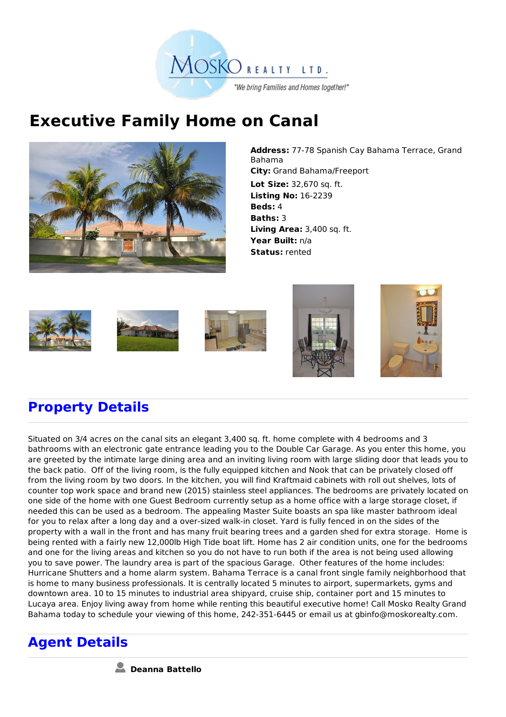

## **Executive Family Home on Canal**



**Address:** 77-78 Spanish Cay Bahama Terrace, Grand Bahama **City:** Grand Bahama/Freeport **Lot Size:** 32,670 sq. ft. **Listing No:** 16-2239 **Beds:** 4 **Baths:** 3 **Living Area:** 3,400 sq. ft. **Year Built:** n/a **Status:** rented











## **Property Details**

Situated on 3/4 acres on the canal sits an elegant 3,400 sq. ft. home complete with 4 bedrooms and 3 bathrooms with an electronic gate entrance leading you to the Double Car Garage. As you enter this home, you are greeted by the intimate large dining area and an inviting living room with large sliding door that leads you to the back patio. Off of the living room, is the fully equipped kitchen and Nook that can be privately closed off from the living room by two doors. In the kitchen, you will find Kraftmaid cabinets with roll out shelves, lots of counter top work space and brand new (2015) stainless steel appliances. The bedrooms are privately located on one side of the home with one Guest Bedroom currently setup as a home office with a large storage closet, if needed this can be used as a bedroom. The appealing Master Suite boasts an spa like master bathroom ideal for you to relax after a long day and a over-sized walk-in closet. Yard is fully fenced in on the sides of the property with a wall in the front and has many fruit bearing trees and a garden shed for extra storage. Home is being rented with a fairly new 12,000lb High Tide boat lift. Home has 2 air condition units, one for the bedrooms and one for the living areas and kitchen so you do not have to run both if the area is not being used allowing you to save power. The laundry area is part of the spacious Garage. Other features of the home includes: Hurricane Shutters and a home alarm system. Bahama Terrace is a canal front single family neighborhood that is home to many business professionals. It is centrally located 5 minutes to airport, supermarkets, gyms and downtown area. 10 to 15 minutes to industrial area shipyard, cruise ship, container port and 15 minutes to Lucaya area. Enjoy living away from home while renting this beautiful executive home! Call Mosko Realty Grand Bahama today to schedule your viewing of this home, 242-351-6445 or email us at gbinfo@moskorealty.com.

## **Agent Details**

**Deanna Battello**